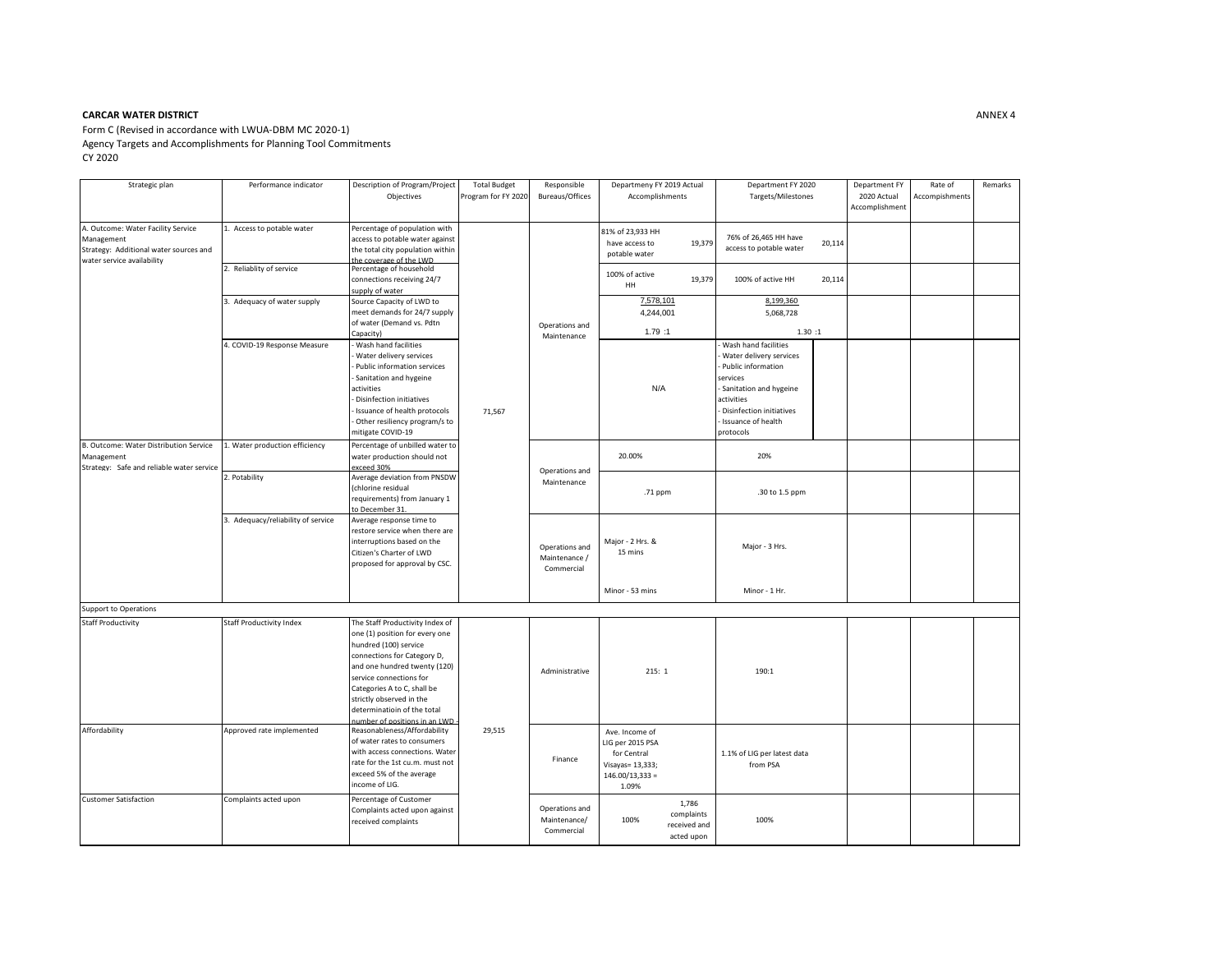## **CARCAR WATER DISTRICT ANNEX 4**

Form C (Revised in accordance with LWUA-DBM MC 2020-1) Agency Targets and Accomplishments for Planning Tool Commitments CY 2020

| Strategic plan                                                                                                           | Performance indicator              | Description of Program/Project<br>Objectives                                                                                                                                                                                                                                                                    | Total Budget<br>Program for FY 2020 | Responsible<br>Bureaus/Offices                | Departmeny FY 2019 Actual<br>Accomplishments                                                        | Department FY 2020<br>Targets/Milestones                                                                                                                                                 | Department FY<br>2020 Actual<br>Accomplishment | Rate of<br>Accompishments | Remarks |
|--------------------------------------------------------------------------------------------------------------------------|------------------------------------|-----------------------------------------------------------------------------------------------------------------------------------------------------------------------------------------------------------------------------------------------------------------------------------------------------------------|-------------------------------------|-----------------------------------------------|-----------------------------------------------------------------------------------------------------|------------------------------------------------------------------------------------------------------------------------------------------------------------------------------------------|------------------------------------------------|---------------------------|---------|
| A. Outcome: Water Facility Service<br>Management<br>Strategy: Additional water sources and<br>water service availability | 1. Access to potable water         | Percentage of population with<br>access to potable water against<br>the total city population within<br>he coverage of the LWD                                                                                                                                                                                  | 71,567                              | Operations and<br>Maintenance                 | 81% of 23,933 HH<br>19,379<br>have access to<br>potable water                                       | 76% of 26,465 HH have<br>20,114<br>access to potable water                                                                                                                               |                                                |                           |         |
|                                                                                                                          | Reliablity of service              | Percentage of household<br>connections receiving 24/7<br>supply of water                                                                                                                                                                                                                                        |                                     |                                               | 100% of active<br>19,379<br>HH                                                                      | 20,114<br>100% of active HH                                                                                                                                                              |                                                |                           |         |
|                                                                                                                          | 3. Adequacy of water supply        | Source Capacity of LWD to<br>meet demands for 24/7 supply<br>of water (Demand vs. Pdtn<br>Capacity)                                                                                                                                                                                                             |                                     |                                               | 7,578,101<br>4,244,001<br>1.79:1                                                                    | 8,199,360<br>5,068,728<br>1.30:1                                                                                                                                                         |                                                |                           |         |
|                                                                                                                          | 1. COVID-19 Response Measure       | Wash hand facilities<br>Water delivery services<br>Public information services<br>Sanitation and hygeine<br>activities<br>Disinfection initiatives<br>Issuance of health protocols<br>Other resiliency program/s to<br>mitigate COVID-19                                                                        |                                     |                                               | N/A                                                                                                 | Wash hand facilities<br>Water delivery services<br>Public information<br>services<br>Sanitation and hygeine<br>activities<br>Disinfection initiatives<br>Issuance of health<br>protocols |                                                |                           |         |
| B. Outcome: Water Distribution Service<br>Management<br>Strategy: Safe and reliable water service                        | I. Water production efficiency     | Percentage of unbilled water to<br>water production should not<br>exceed 30%                                                                                                                                                                                                                                    |                                     | Operations and<br>Maintenance                 | 20.00%                                                                                              | 20%                                                                                                                                                                                      |                                                |                           |         |
|                                                                                                                          | 2. Potability                      | Average deviation from PNSDW<br>(chlorine residual<br>requirements) from January 1<br>o December 31.                                                                                                                                                                                                            |                                     |                                               | .71 ppm                                                                                             | .30 to 1.5 ppm                                                                                                                                                                           |                                                |                           |         |
|                                                                                                                          | 3. Adequacy/reliability of service | Average response time to<br>restore service when there are<br>interruptions based on the<br>Citizen's Charter of LWD<br>proposed for approval by CSC.                                                                                                                                                           |                                     | Operations and<br>Maintenance /<br>Commercial | Major - 2 Hrs. &<br>15 mins                                                                         | Major - 3 Hrs.                                                                                                                                                                           |                                                |                           |         |
|                                                                                                                          |                                    |                                                                                                                                                                                                                                                                                                                 |                                     |                                               | Minor - 53 mins                                                                                     | Minor - 1 Hr.                                                                                                                                                                            |                                                |                           |         |
| <b>Support to Operations</b>                                                                                             |                                    |                                                                                                                                                                                                                                                                                                                 |                                     |                                               |                                                                                                     |                                                                                                                                                                                          |                                                |                           |         |
| <b>Staff Productivity</b>                                                                                                | <b>Staff Productivity Index</b>    | The Staff Productivity Index of<br>one (1) position for every one<br>hundred (100) service<br>connections for Category D,<br>and one hundred twenty (120)<br>service connections for<br>Categories A to C, shall be<br>strictly observed in the<br>determinatioin of the total<br>number of positions in an LWD | 29,515                              | Administrative                                | 215:1                                                                                               | 190:1                                                                                                                                                                                    |                                                |                           |         |
| Affordability                                                                                                            | Approved rate implemented          | Reasonableness/Affordability<br>of water rates to consumers<br>with access connections. Water<br>rate for the 1st cu.m. must not<br>exceed 5% of the average<br>income of LIG.                                                                                                                                  |                                     | Finance                                       | Ave. Income of<br>LIG per 2015 PSA<br>for Central<br>Visayas= 13,333;<br>$146.00/13,333 =$<br>1.09% | 1.1% of LIG per latest data<br>from PSA                                                                                                                                                  |                                                |                           |         |
| <b>Customer Satisfaction</b>                                                                                             | Complaints acted upon              | Percentage of Customer<br>Complaints acted upon against<br>received complaints                                                                                                                                                                                                                                  |                                     | Operations and<br>Maintenance/<br>Commercial  | 1,786<br>complaints<br>100%<br>received and<br>acted upon                                           | 100%                                                                                                                                                                                     |                                                |                           |         |

۰